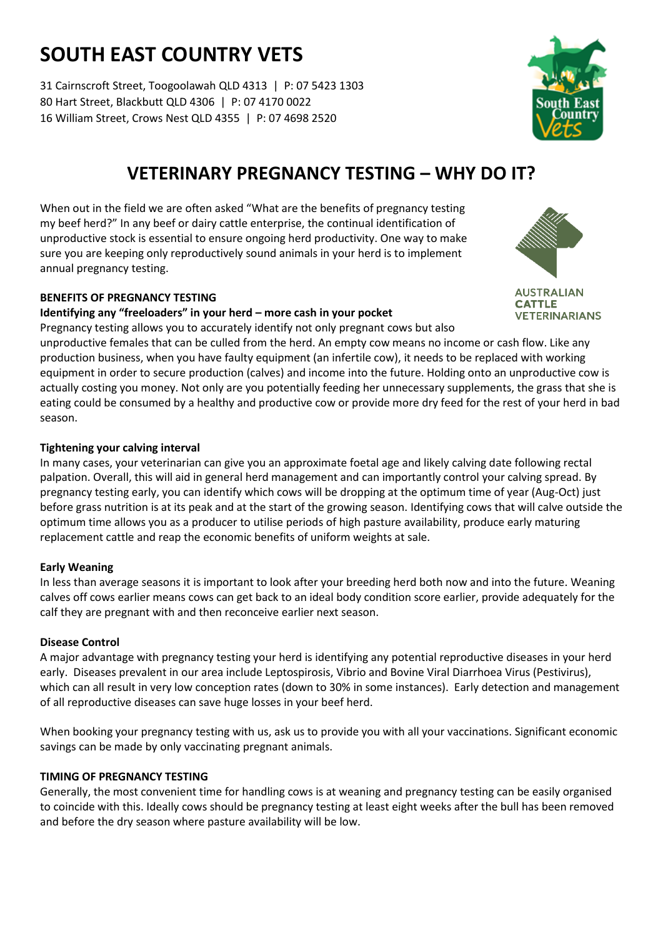# **SOUTH EAST COUNTRY VETS**

31 Cairnscroft Street, Toogoolawah QLD 4313 | P: 07 5423 1303 80 Hart Street, Blackbutt QLD 4306 | P: 07 4170 0022 16 William Street, Crows Nest QLD 4355 | P: 07 4698 2520



# **VETERINARY PREGNANCY TESTING – WHY DO IT?**

When out in the field we are often asked "What are the benefits of pregnancy testing my beef herd?" In any beef or dairy cattle enterprise, the continual identification of unproductive stock is essential to ensure ongoing herd productivity. One way to make sure you are keeping only reproductively sound animals in your herd is to implement annual pregnancy testing.

## **BENEFITS OF PREGNANCY TESTING**

#### **Identifying any "freeloaders" in your herd – more cash in your pocket**

**AUSTRALIAN CATTLE VETERINARIANS** 

Pregnancy testing allows you to accurately identify not only pregnant cows but also unproductive females that can be culled from the herd. An empty cow means no income or cash flow. Like any production business, when you have faulty equipment (an infertile cow), it needs to be replaced with working equipment in order to secure production (calves) and income into the future. Holding onto an unproductive cow is actually costing you money. Not only are you potentially feeding her unnecessary supplements, the grass that she is eating could be consumed by a healthy and productive cow or provide more dry feed for the rest of your herd in bad season.

## **Tightening your calving interval**

In many cases, your veterinarian can give you an approximate foetal age and likely calving date following rectal palpation. Overall, this will aid in general herd management and can importantly control your calving spread. By pregnancy testing early, you can identify which cows will be dropping at the optimum time of year (Aug-Oct) just before grass nutrition is at its peak and at the start of the growing season. Identifying cows that will calve outside the optimum time allows you as a producer to utilise periods of high pasture availability, produce early maturing replacement cattle and reap the economic benefits of uniform weights at sale.

## **Early Weaning**

In less than average seasons it is important to look after your breeding herd both now and into the future. Weaning calves off cows earlier means cows can get back to an ideal body condition score earlier, provide adequately for the calf they are pregnant with and then reconceive earlier next season.

## **Disease Control**

A major advantage with pregnancy testing your herd is identifying any potential reproductive diseases in your herd early. Diseases prevalent in our area include Leptospirosis, Vibrio and Bovine Viral Diarrhoea Virus (Pestivirus), which can all result in very low conception rates (down to 30% in some instances). Early detection and management of all reproductive diseases can save huge losses in your beef herd.

When booking your pregnancy testing with us, ask us to provide you with all your vaccinations. Significant economic savings can be made by only vaccinating pregnant animals.

# **TIMING OF PREGNANCY TESTING**

Generally, the most convenient time for handling cows is at weaning and pregnancy testing can be easily organised to coincide with this. Ideally cows should be pregnancy testing at least eight weeks after the bull has been removed and before the dry season where pasture availability will be low.